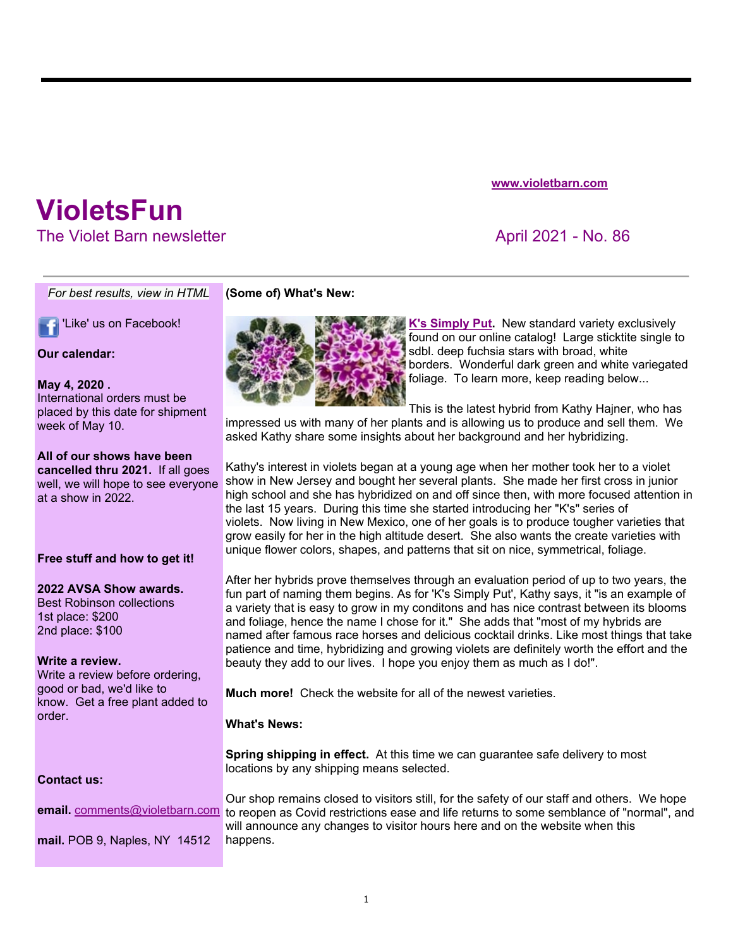# *For best results, view in HTML*

'Like' us on Facebook!

**VioletsFun** 

## **Our calendar:**

## **May 4, 2020 .**

International orders must be placed by this date for shipment week of May 10.

## **All of our shows have been**

**cancelled thru 2021.** If all goes well, we will hope to see everyone at a show in 2022.

## **Free stuff and how to get it!**

## **2022 AVSA Show awards.**

Best Robinson collections 1st place: \$200 2nd place: \$100

## **Write a review.**

Write a review before ordering, good or bad, we'd like to know. Get a free plant added to order.

## **(Some of) What's New:**



**K's Simply Put.** New standard variety exclusively found on our online catalog! Large sticktite single to sdbl. deep fuchsia stars with broad, white borders. Wonderful dark green and white variegated foliage. To learn more, keep reading below...

This is the latest hybrid from Kathy Hajner, who has

impressed us with many of her plants and is allowing us to produce and sell them. We asked Kathy share some insights about her background and her hybridizing.

Kathy's interest in violets began at a young age when her mother took her to a violet show in New Jersey and bought her several plants. She made her first cross in junior high school and she has hybridized on and off since then, with more focused attention in the last 15 years. During this time she started introducing her "K's" series of violets. Now living in New Mexico, one of her goals is to produce tougher varieties that grow easily for her in the high altitude desert. She also wants the create varieties with unique flower colors, shapes, and patterns that sit on nice, symmetrical, foliage.

After her hybrids prove themselves through an evaluation period of up to two years, the fun part of naming them begins. As for 'K's Simply Put', Kathy says, it "is an example of a variety that is easy to grow in my conditons and has nice contrast between its blooms and foliage, hence the name I chose for it." She adds that "most of my hybrids are named after famous race horses and delicious cocktail drinks. Like most things that take patience and time, hybridizing and growing violets are definitely worth the effort and the beauty they add to our lives. I hope you enjoy them as much as I do!".

**Much more!** Check the website for all of the newest varieties.

## **What's News:**

**Spring shipping in effect.** At this time we can guarantee safe delivery to most locations by any shipping means selected.

## **Contact us:**

**email.** comments@violetbarn.com

**mail.** POB 9, Naples, NY 14512

Our shop remains closed to visitors still, for the safety of our staff and others. We hope to reopen as Covid restrictions ease and life returns to some semblance of "normal", and will announce any changes to visitor hours here and on the website when this happens.

**www.violetbarn.com**

# The Violet Barn newsletter April 2021 - No. 86